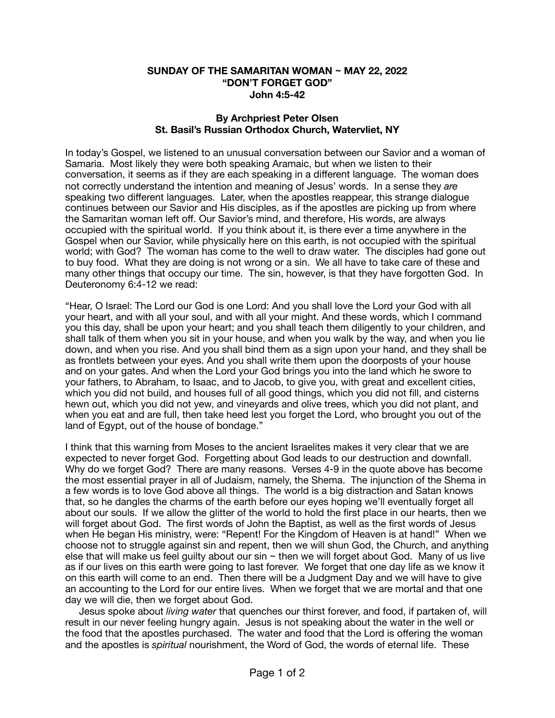## **SUNDAY OF THE SAMARITAN WOMAN ~ MAY 22, 2022 "DON'T FORGET GOD" John 4:5-42**

## **By Archpriest Peter Olsen St. Basil's Russian Orthodox Church, Watervliet, NY**

In today's Gospel, we listened to an unusual conversation between our Savior and a woman of Samaria. Most likely they were both speaking Aramaic, but when we listen to their conversation, it seems as if they are each speaking in a different language. The woman does not correctly understand the intention and meaning of Jesus' words. In a sense they *are*  speaking two different languages. Later, when the apostles reappear, this strange dialogue continues between our Savior and His disciples, as if the apostles are picking up from where the Samaritan woman left off. Our Savior's mind, and therefore, His words, are always occupied with the spiritual world. If you think about it, is there ever a time anywhere in the Gospel when our Savior, while physically here on this earth, is not occupied with the spiritual world; with God? The woman has come to the well to draw water. The disciples had gone out to buy food. What they are doing is not wrong or a sin. We all have to take care of these and many other things that occupy our time. The sin, however, is that they have forgotten God. In Deuteronomy 6:4-12 we read:

"Hear, O Israel: The Lord our God is one Lord: And you shall love the Lord your God with all your heart, and with all your soul, and with all your might. And these words, which I command you this day, shall be upon your heart; and you shall teach them diligently to your children, and shall talk of them when you sit in your house, and when you walk by the way, and when you lie down, and when you rise. And you shall bind them as a sign upon your hand, and they shall be as frontlets between your eyes. And you shall write them upon the doorposts of your house and on your gates. And when the Lord your God brings you into the land which he swore to your fathers, to Abraham, to Isaac, and to Jacob, to give you, with great and excellent cities, which you did not build, and houses full of all good things, which you did not fill, and cisterns hewn out, which you did not yew, and vineyards and olive trees, which you did not plant, and when you eat and are full, then take heed lest you forget the Lord, who brought you out of the land of Egypt, out of the house of bondage."

I think that this warning from Moses to the ancient Israelites makes it very clear that we are expected to never forget God. Forgetting about God leads to our destruction and downfall. Why do we forget God? There are many reasons. Verses 4-9 in the quote above has become the most essential prayer in all of Judaism, namely, the Shema. The injunction of the Shema in a few words is to love God above all things. The world is a big distraction and Satan knows that, so he dangles the charms of the earth before our eyes hoping we'll eventually forget all about our souls. If we allow the glitter of the world to hold the first place in our hearts, then we will forget about God. The first words of John the Baptist, as well as the first words of Jesus when He began His ministry, were: "Repent! For the Kingdom of Heaven is at hand!" When we choose not to struggle against sin and repent, then we will shun God, the Church, and anything else that will make us feel guilty about our sin  $\sim$  then we will forget about God. Many of us live as if our lives on this earth were going to last forever. We forget that one day life as we know it on this earth will come to an end. Then there will be a Judgment Day and we will have to give an accounting to the Lord for our entire lives. When we forget that we are mortal and that one day we will die, then we forget about God.

 Jesus spoke about *living water* that quenches our thirst forever, and food, if partaken of, will result in our never feeling hungry again. Jesus is not speaking about the water in the well or the food that the apostles purchased. The water and food that the Lord is offering the woman and the apostles is *spiritual* nourishment, the Word of God, the words of eternal life. These